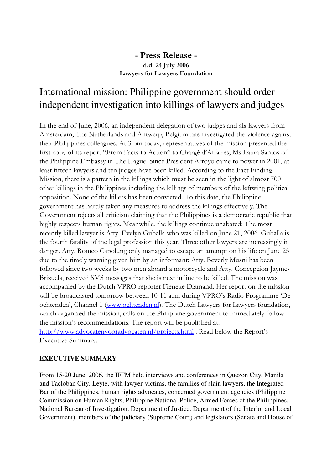## - Press Release d.d. 24 July 2006 Lawyers for Lawyers Foundation

## International mission: Philippine government should order independent investigation into killings of lawyers and judges

In the end of June, 2006, an independent delegation of two judges and six lawyers from Amsterdam, The Netherlands and Antwerp, Belgium has investigated the violence against their Philippines colleagues. At 3 pm today, representatives of the mission presented the first copy of its report "From Facts to Action" to Chargé d'Affaires, Ms Laura Santos of the Philippine Embassy in The Hague. Since President Arroyo came to power in 2001, at least fifteen lawyers and ten judges have been killed. According to the Fact Finding Mission, there is a pattern in the killings which must be seen in the light of almost 700 other killings in the Philippines including the killings of members of the leftwing political opposition. None of the killers has been convicted. To this date, the Philippine government has hardly taken any measures to address the killings effectively. The Government rejects all criticism claiming that the Philippines is a democratic republic that highly respects human rights. Meanwhile, the killings continue unabated: The most recently killed lawyer is Atty. Evelyn Guballa who was killed on June 21, 2006. Guballa is the fourth fatality of the legal profession this year. Three other lawyers are increasingly in danger. Atty. Romeo Capolung only managed to escape an attempt on his life on June 25 due to the timely warning given him by an informant; Atty. Beverly Musni has been followed since two weeks by two men aboard a motorcycle and Atty. Concepcion Jayme-Brizuela, received SMS messages that she is next in line to be killed. The mission was accompanied by the Dutch VPRO reporter Fieneke Diamand. Her report on the mission will be broadcasted tomorrow between 10-11 a.m. during VPRO's Radio Programme 'De ochtenden', Channel 1 (www.ochtenden.nl). The Dutch Lawyers for Lawyers foundation, which organized the mission, calls on the Philippine government to immediately follow the mission's recommendations. The report will be published at: http://www.advocatenvooradvocaten.nl/projects.html . Read below the Report's Executive Summary:

## **EXECUTIVE SUMMARY**

From 15-20 June, 2006, the IFFM held interviews and conferences in Quezon City, Manila and Tacloban City, Leyte, with lawyer-victims, the families of slain lawyers, the Integrated Bar of the Philippines, human rights advocates, concerned government agencies (Philippine Commission on Human Rights, Philippine National Police, Armed Forces of the Philippines, National Bureau of Investigation, Department of Justice, Department of the Interior and Local Government), members of the judiciary (Supreme Court) and legislators (Senate and House of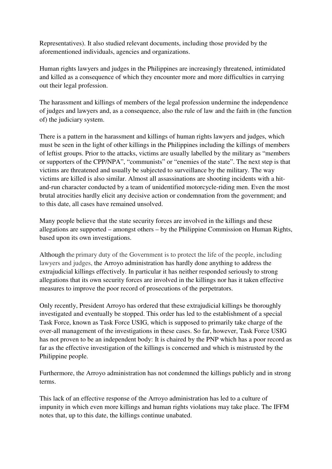Representatives). It also studied relevant documents, including those provided by the aforementioned individuals, agencies and organizations.

Human rights lawyers and judges in the Philippines are increasingly threatened, intimidated and killed as a consequence of which they encounter more and more difficulties in carrying out their legal profession.

The harassment and killings of members of the legal profession undermine the independence of judges and lawyers and, as a consequence, also the rule of law and the faith in (the function of) the judiciary system.

There is a pattern in the harassment and killings of human rights lawyers and judges, which must be seen in the light of other killings in the Philippines including the killings of members of leftist groups. Prior to the attacks, victims are usually labelled by the military as "members or supporters of the CPP/NPA", "communists" or "enemies of the state". The next step is that victims are threatened and usually be subjected to surveillance by the military. The way victims are killed is also similar. Almost all assassinations are shooting incidents with a hitand-run character conducted by a team of unidentified motorcycle-riding men. Even the most brutal atrocities hardly elicit any decisive action or condemnation from the government; and to this date, all cases have remained unsolved.

Many people believe that the state security forces are involved in the killings and these allegations are supported – amongst others – by the Philippine Commission on Human Rights, based upon its own investigations.

Although the primary duty of the Government is to protect the life of the people, including lawyers and judges, the Arroyo administration has hardly done anything to address the extrajudicial killings effectively. In particular it has neither responded seriously to strong allegations that its own security forces are involved in the killings nor has it taken effective measures to improve the poor record of prosecutions of the perpetrators.

Only recently, President Arroyo has ordered that these extrajudicial killings be thoroughly investigated and eventually be stopped. This order has led to the establishment of a special Task Force, known as Task Force USIG, which is supposed to primarily take charge of the over-all management of the investigations in these cases. So far, however, Task Force USIG has not proven to be an independent body: It is chaired by the PNP which has a poor record as far as the effective investigation of the killings is concerned and which is mistrusted by the Philippine people.

Furthermore, the Arroyo administration has not condemned the killings publicly and in strong terms.

This lack of an effective response of the Arroyo administration has led to a culture of impunity in which even more killings and human rights violations may take place. The IFFM notes that, up to this date, the killings continue unabated.